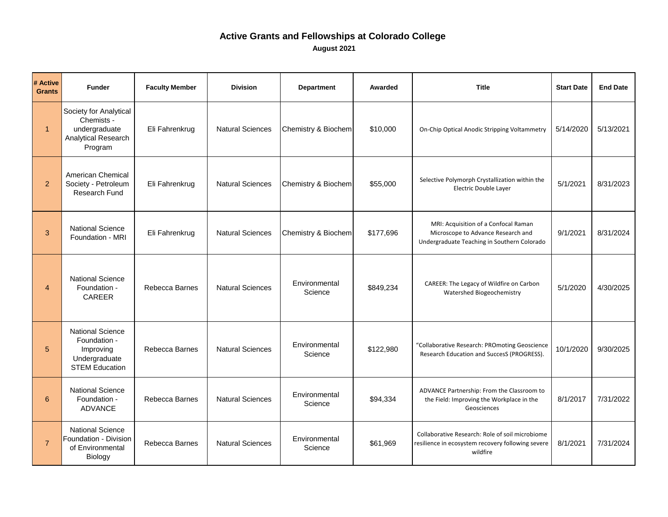| # Active<br><b>Grants</b> | <b>Funder</b>                                                                                  | <b>Faculty Member</b> | <b>Division</b>         | <b>Department</b>        | <b>Awarded</b> | <b>Title</b>                                                                                                              | <b>Start Date</b> | <b>End Date</b> |
|---------------------------|------------------------------------------------------------------------------------------------|-----------------------|-------------------------|--------------------------|----------------|---------------------------------------------------------------------------------------------------------------------------|-------------------|-----------------|
| $\mathbf{1}$              | Society for Analytical<br>Chemists -<br>undergraduate<br><b>Analytical Research</b><br>Program | Eli Fahrenkrug        | <b>Natural Sciences</b> | Chemistry & Biochem      | \$10,000       | On-Chip Optical Anodic Stripping Voltammetry                                                                              | 5/14/2020         | 5/13/2021       |
| $\overline{2}$            | <b>American Chemical</b><br>Society - Petroleum<br>Research Fund                               | Eli Fahrenkrug        | <b>Natural Sciences</b> | Chemistry & Biochem      | \$55,000       | Selective Polymorph Crystallization within the<br>Electric Double Layer                                                   | 5/1/2021          | 8/31/2023       |
| 3                         | <b>National Science</b><br>Foundation - MRI                                                    | Eli Fahrenkrug        | <b>Natural Sciences</b> | Chemistry & Biochem      | \$177,696      | MRI: Acquisition of a Confocal Raman<br>Microscope to Advance Research and<br>Undergraduate Teaching in Southern Colorado | 9/1/2021          | 8/31/2024       |
| 4                         | <b>National Science</b><br>Foundation -<br><b>CAREER</b>                                       | Rebecca Barnes        | <b>Natural Sciences</b> | Environmental<br>Science | \$849,234      | CAREER: The Legacy of Wildfire on Carbon<br>Watershed Biogeochemistry                                                     | 5/1/2020          | 4/30/2025       |
| 5                         | <b>National Science</b><br>Foundation -<br>Improving<br>Undergraduate<br><b>STEM Education</b> | Rebecca Barnes        | <b>Natural Sciences</b> | Environmental<br>Science | \$122,980      | "Collaborative Research: PROmoting Geoscience<br>Research Education and SuccesS (PROGRESS).                               | 10/1/2020         | 9/30/2025       |
| $6\phantom{1}$            | <b>National Science</b><br>Foundation -<br><b>ADVANCE</b>                                      | Rebecca Barnes        | <b>Natural Sciences</b> | Environmental<br>Science | \$94,334       | ADVANCE Partnership: From the Classroom to<br>the Field: Improving the Workplace in the<br>Geosciences                    | 8/1/2017          | 7/31/2022       |
|                           | <b>National Science</b><br>Foundation - Division<br>of Environmental<br><b>Biology</b>         | Rebecca Barnes        | <b>Natural Sciences</b> | Environmental<br>Science | \$61,969       | Collaborative Research: Role of soil microbiome<br>resilience in ecosystem recovery following severe<br>wildfire          | 8/1/2021          | 7/31/2024       |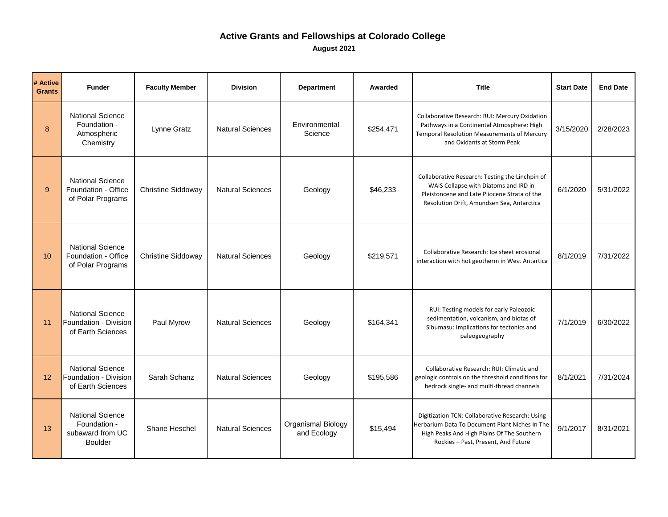| # Active<br><b>Grants</b> | <b>Funder</b>                                                                 | <b>Faculty Member</b>     | <b>Division</b>         | <b>Department</b>                        | Awarded   | <b>Title</b>                                                                                                                                                                           | <b>Start Date</b> | <b>End Date</b> |
|---------------------------|-------------------------------------------------------------------------------|---------------------------|-------------------------|------------------------------------------|-----------|----------------------------------------------------------------------------------------------------------------------------------------------------------------------------------------|-------------------|-----------------|
| 8                         | <b>National Science</b><br>Foundation -<br>Atmospheric<br>Chemistry           | Lynne Gratz               | <b>Natural Sciences</b> | Environmental<br>Science                 | \$254,471 | Collaborative Research: RUI: Mercury Oxidation<br>Pathways in a Continental Atmosphere: High<br>Temporal Resolution Measurements of Mercury<br>and Oxidants at Storm Peak              | 3/15/2020         | 2/28/2023       |
| 9                         | <b>National Science</b><br>Foundation - Office<br>of Polar Programs           | <b>Christine Siddoway</b> | <b>Natural Sciences</b> | Geology                                  | \$46,233  | Collaborative Research: Testing the Linchpin of<br>WAIS Collapse with Diatoms and IRD in<br>Pleistoncene and Late Pliocene Strata of the<br>Resolution Drift, Amundsen Sea, Antarctica | 6/1/2020          | 5/31/2022       |
| 10 <sup>°</sup>           | <b>National Science</b><br>Foundation - Office<br>of Polar Programs           | <b>Christine Siddoway</b> | <b>Natural Sciences</b> | Geology                                  | \$219,571 | Collaborative Research: Ice sheet erosional<br>interaction with hot geotherm in West Antartica                                                                                         | 8/1/2019          | 7/31/2022       |
| 11                        | <b>National Science</b><br>Foundation - Division<br>of Earth Sciences         | Paul Myrow                | <b>Natural Sciences</b> | Geology                                  | \$164,341 | RUI: Testing models for early Paleozoic<br>sedimentation, volcanism, and biotas of<br>Sibumasu: Implications for tectonics and<br>paleogeography                                       | 7/1/2019          | 6/30/2022       |
| 12                        | <b>National Science</b><br>Foundation - Division<br>of Earth Sciences         | Sarah Schanz              | <b>Natural Sciences</b> | Geology                                  | \$195,586 | Collaborative Research: RUI: Climatic and<br>geologic controls on the threshold conditions for<br>bedrock single- and multi-thread channels                                            | 8/1/2021          | 7/31/2024       |
| 13                        | <b>National Science</b><br>Foundation -<br>subaward from UC<br><b>Boulder</b> | Shane Heschel             | <b>Natural Sciences</b> | <b>Organismal Biology</b><br>and Ecology | \$15,494  | Digitization TCN: Collaborative Research: Using<br>Herbarium Data To Document Plant Niches In The<br>High Peaks And High Plains Of The Southern<br>Rockies - Past, Present, And Future | 9/1/2017          | 8/31/2021       |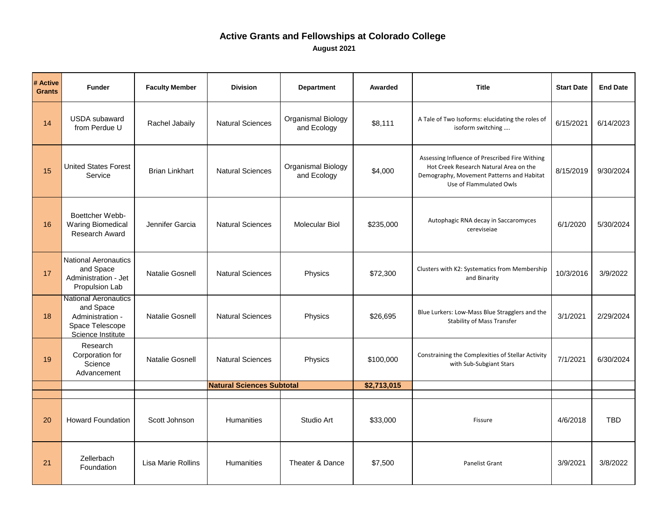| # Active<br><b>Grants</b> | <b>Funder</b>                                                                                        | <b>Faculty Member</b>     | <b>Division</b>                  | <b>Department</b>                        | Awarded     | <b>Title</b>                                                                                                                                                     | <b>Start Date</b> | <b>End Date</b> |
|---------------------------|------------------------------------------------------------------------------------------------------|---------------------------|----------------------------------|------------------------------------------|-------------|------------------------------------------------------------------------------------------------------------------------------------------------------------------|-------------------|-----------------|
| 14                        | <b>USDA</b> subaward<br>from Perdue U                                                                | Rachel Jabaily            | <b>Natural Sciences</b>          | <b>Organismal Biology</b><br>and Ecology | \$8,111     | A Tale of Two Isoforms: elucidating the roles of<br>isoform switching                                                                                            | 6/15/2021         | 6/14/2023       |
| 15                        | <b>United States Forest</b><br>Service                                                               | <b>Brian Linkhart</b>     | <b>Natural Sciences</b>          | Organismal Biology<br>and Ecology        | \$4,000     | Assessing Influence of Prescribed Fire Withing<br>Hot Creek Research Natural Area on the<br>Demography, Movement Patterns and Habitat<br>Use of Flammulated Owls | 8/15/2019         | 9/30/2024       |
| 16                        | Boettcher Webb-<br><b>Waring Biomedical</b><br><b>Research Award</b>                                 | Jennifer Garcia           | <b>Natural Sciences</b>          | <b>Molecular Biol</b>                    | \$235,000   | Autophagic RNA decay in Saccaromyces<br>cereviseiae                                                                                                              | 6/1/2020          | 5/30/2024       |
| 17                        | <b>National Aeronautics</b><br>and Space<br>Administration - Jet<br>Propulsion Lab                   | <b>Natalie Gosnell</b>    | <b>Natural Sciences</b>          | Physics                                  | \$72,300    | Clusters with K2: Systematics from Membership<br>and Binarity                                                                                                    | 10/3/2016         | 3/9/2022        |
| 18                        | <b>National Aeronautics</b><br>and Space<br>Administration -<br>Space Telescope<br>Science Institute | <b>Natalie Gosnell</b>    | <b>Natural Sciences</b>          | Physics                                  | \$26,695    | Blue Lurkers: Low-Mass Blue Stragglers and the<br><b>Stability of Mass Transfer</b>                                                                              | 3/1/2021          | 2/29/2024       |
| 19                        | Research<br>Corporation for<br>Science<br>Advancement                                                | <b>Natalie Gosnell</b>    | <b>Natural Sciences</b>          | Physics                                  | \$100,000   | Constraining the Complexities of Stellar Activity<br>with Sub-Subgiant Stars                                                                                     | 7/1/2021          | 6/30/2024       |
|                           |                                                                                                      |                           | <b>Natural Sciences Subtotal</b> |                                          | \$2,713,015 |                                                                                                                                                                  |                   |                 |
| 20                        | <b>Howard Foundation</b>                                                                             | Scott Johnson             | Humanities                       | Studio Art                               | \$33,000    | Fissure                                                                                                                                                          | 4/6/2018          | <b>TBD</b>      |
| 21                        | Zellerbach<br>Foundation                                                                             | <b>Lisa Marie Rollins</b> | Humanities                       | Theater & Dance                          | \$7,500     | Panelist Grant                                                                                                                                                   | 3/9/2021          | 3/8/2022        |